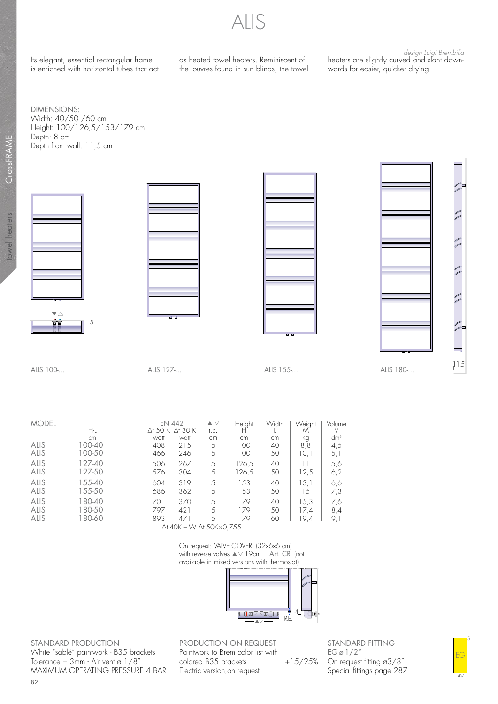ALIS

Its elegant, essential rectangular frame is enriched with horizontal tubes that act as heated towel heaters. Reminiscent of the louvres found in sun blinds, the towel

design Luigi Brembilla heaters are slightly curved and slant downwards for easier, quicker drying.

DIMENSIONS: Width: 40/50 /60 cm Height: 100/126,5/153/179 cm Depth: 8 cm Depth from wall: 11,5 cm











ALIS 100-... ALIS 127-... ALIS 155-... ALIS 180-...

| MODEL |           |                 | EN 442  | $\blacktriangle \triangledown$ | Height | Width | Weight | Volume          |
|-------|-----------|-----------------|---------|--------------------------------|--------|-------|--------|-----------------|
|       | Нŀ        | $\Delta$ t 50 K | ∆t 30 K | t.c.                           |        |       |        |                 |
|       | cm        | watt            | watt    | cm                             | cm     | cm    | kg     | dm <sup>3</sup> |
| Alis  | 100-40    | 408             | 215     |                                | 100    | 40    | 8,8    | 4,5             |
| alis  | 100-50    | 466             | 246     |                                | 100    | 50    | 10,1   | 5,1             |
| Alis  | 127-40    | 506             | 267     | 5                              | 126,5  | 40    |        | 5,6             |
| alis  | 127-50    | 576             | 304     |                                | 126,5  | 50    | 12,5   | 6,2             |
| Alis  | 155-40    | 604             | 319     |                                | 153    | 40    | 13.1   | 6,6             |
| alis  | 155-50    | 686             | 362     |                                | 153    | 50    | 15     | 7,3             |
| Alis  | $80 - 40$ | 701             | 370     | 5                              | 179    | 40    | 15.3   | 7,6             |
| alis  | 80-50     | 797             | 421     |                                | 179    | 50    | 17.4   | 8,4             |
| alis  | 80-60     | 893             | 471     |                                | 179    | 60    | 19.4   | 9, 1            |
|       |           |                 |         |                                |        |       |        |                 |

∆t 40K = W ∆t 50K x 0,755

On request: VALVE COVER (32x6x6 cm) with reverse valves ▲▽19cm Art. CR (not available in mixed versions with thermostat)



STANDARD PRODUCTION White "sablé" paintwork - B35 brackets Tolerance  $\pm$  3mm - Air vent ø 1/8" MAXIMUM OPERATING PRESSURE 4 BAR PRODUCTION ON REQUEST Paintwork to Brem color list with colored B35 brackets +15/25% Electric version,on request

STANDARD FITTING  $EG \varnothing$  1/2" On request fitting ø3/8" Special fittings page 287

82

s